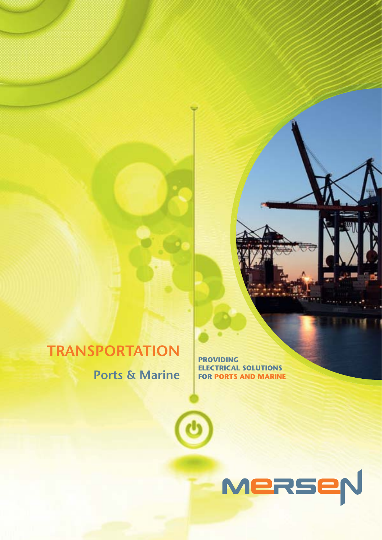## **TRANSPORTATION**

**Ports & Marine**

**PROVIDING ELECTRICAL SOLUTIONS FOR PORTS AND MARINE**

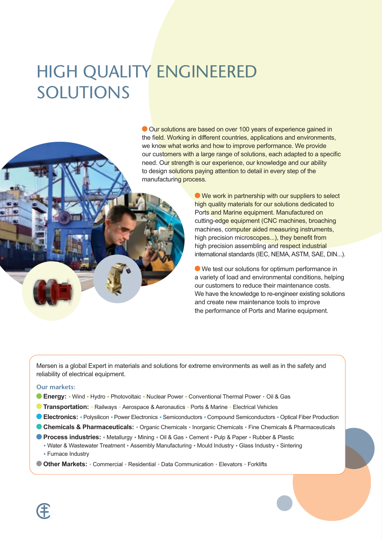# **HIGH QUALITY ENGINEERED** SOLUTIONS

Our solutions are based on over 100 years of experience gained in the field. Working in different countries, applications and environments, we know what works and how to improve performance. We provide our customers with a large range of solutions, each adapted to a specific need. Our strength is our experience, our knowledge and our ability to design solutions paying attention to detail in every step of the manufacturing process.

> ● We work in partnership with our suppliers to select high quality materials for our solutions dedicated to Ports and Marine equipment. Manufactured on cutting-edge equipment (CNC machines, broaching machines, computer aided measuring instruments. high precision microscopes...), they benefit from high precision assembling and respect industrial international standards (IEC, NEMA, ASTM, SAE, DIN...).

> ● We test our solutions for optimum performance in a variety of load and environmental conditions, helping our customers to reduce their maintenance costs. We have the knowledge to re-engineer existing solutions and create new maintenance tools to improve the performance of Ports and Marine equipment.

Mersen is a global Expert in materials and solutions for extreme environments as well as in the safety and reliability of electrical equipment.

#### **Our markets:**

- Energy: Wind Hydro Photovoltaic Nuclear Power Conventional Thermal Power Oil & Gas
- **Transportation:** · Railways · Aerospace & Aeronautics · Ports & Marine · Electrical Vehicles
- **CElectronics:** Polysilicon Power Electronics Semiconductors Compound Semiconductors Optical Fiber Production
- Chemicals & Pharmaceuticals: Organic Chemicals Inorganic Chemicals Fine Chemicals & Pharmaceuticals
- Process industries: Metallurgy Mining Oil & Gas Cement Pulp & Paper Rubber & Plastic . Water & Wastewater Treatment . Assembly Manufacturing . Mould Industry . Glass Industry . Sintering • Furnace Industry
- O Other Markets: Commercial · Residential · Data Communication · Elevators · Forklifts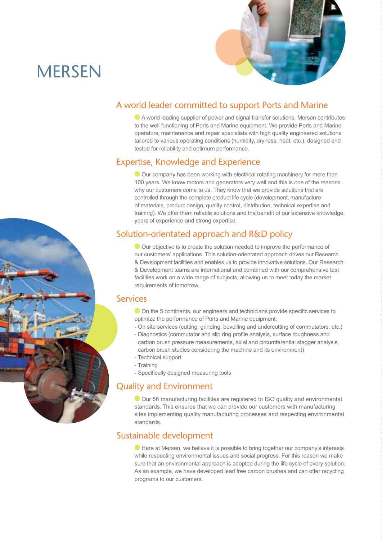## **MERSEN**



### A world leader committed to support Ports and Marine

 $\bullet$  A world leading supplier of power and signal transfer solutions, Mersen contributes to the well functioning of Ports and Marine equipment. We provide Ports and Marine operators, maintenance and repair specialists with high quality engineered solutions tailored to various operating conditions (humidity, dryness, heat, etc.), designed and tested for reliability and optimum performance.

### Expertise, Knowledge and Experience

 $\bullet$  Our company has been working with electrical rotating machinery for more than 100 years. We know motors and generators very well and this is one of the reasons why our customers come to us. They know that we provide solutions that are controlled through the complete product life cycle (development, manufacture of materials, product design, quality control, distribution, technical expertise and training). We offer them reliable solutions and the benefit of our extensive knowledge. years of experience and strong expertise.

### Solution-orientated approach and R&D policy

 $\bullet$  Our objective is to create the solution needed to improve the performance of our customers' applications. This solution-orientated approach drives our Research & Development facilities and enables us to provide innovative solutions. Our Research & Development teams are international and combined with our comprehensive test facilities work on a wide range of subjects, allowing us to meet today the market requirements of tomorrow.

#### Services

- ◯ On the 5 continents, our engineers and technicians provide specific services to optimize the performance of Ports and Marine equipment:
- On site services (cutting, grinding, bevelling and undercutting of commutators, etc.)
- Diagnostics (commutator and slip ring profile analysis, surface roughness and carbon brush pressure measurements, axial and circumferential stagger analysis. carbon brush studies considering the machine and its environment)
- Technical support
- Training
- Specifically designed measuring tools

#### Quality and Environment

 $\bullet$  Our 56 manufacturing facilities are registered to ISO quality and environmental standards. This ensures that we can provide our customers with manufacturing sites implementing quality manufacturing processes and respecting environmental standards.

#### Sustainable development

 $\bullet$  Here at Mersen, we believe it is possible to bring together our company's interests while respecting environmental issues and social progress. For this reason we make sure that an environmental approach is adopted during the life cycle of every solution. As an example, we have developed lead free carbon brushes and can offer recycling programs to our customers.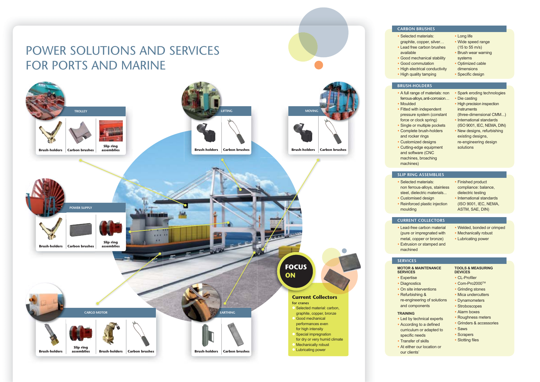

| <b>ON BRUSHES</b>                                                                                                                                                                                                                                                                                                   |                                                                                                                                                                                                                                                                                    |
|---------------------------------------------------------------------------------------------------------------------------------------------------------------------------------------------------------------------------------------------------------------------------------------------------------------------|------------------------------------------------------------------------------------------------------------------------------------------------------------------------------------------------------------------------------------------------------------------------------------|
| cted materials:<br>hite, copper, silver<br>d free carbon brushes<br>lable<br>d mechanical stability<br>d commutation<br>electrical conductivity<br><b>quality tamping</b>                                                                                                                                           | • Long life<br>• Wide speed range<br>(15 to 55 m/s)<br>• Brush wear warning<br>systems<br>• Optimized cable<br>dimensions<br>• Specific design                                                                                                                                     |
| <b>H-HOLDERS</b>                                                                                                                                                                                                                                                                                                    |                                                                                                                                                                                                                                                                                    |
| I range of materials: non<br>us-alloys, anti-corrosion<br>Ided<br>d with independent<br>sure system (constant<br>e or clock spring)<br>le or multiple pockets<br>plete brush-holders<br>rocker rings<br>tomized designs<br>ing-edge equipment<br>software (CNC<br>hines, broaching<br>hines)                        | • Spark eroding technologies<br>• Die casting<br>• High precision inspection<br><b>instruments</b><br>(three-dimensional CMM)<br>• International standards<br>(ISO 9001, IEC, NEMA, DIN)<br>• New designs, refurbishing<br>existing designs,<br>re-engineering design<br>solutions |
| RING ASSEMBLIES                                                                                                                                                                                                                                                                                                     |                                                                                                                                                                                                                                                                                    |
| cted materials:<br>ferrous-alloys, stainless<br>I, dielectric materials<br>tomised design<br>forced plastic injection<br>Iding                                                                                                                                                                                      | • Finished product<br>compliance: balance,<br>dielectric testing<br>International standards<br>(ISO 9001, IEC, NEMA,<br>ASTM, SAE, DIN)                                                                                                                                            |
| <b>ENT COLLECTORS</b>                                                                                                                                                                                                                                                                                               |                                                                                                                                                                                                                                                                                    |
| d-free carbon material<br>e or impregnated with<br>al, copper or bronze)<br>usion or stamped and<br>hined                                                                                                                                                                                                           | • Welded, bonded or crimped<br>• Mechanically robust<br>• Lubricating power                                                                                                                                                                                                        |
| <b>ICES</b>                                                                                                                                                                                                                                                                                                         |                                                                                                                                                                                                                                                                                    |
| <b>R &amp; MAINTENANCE</b><br><b>CES</b><br>ertise<br><b>nostics</b><br>site interventions<br>urbishing &<br>ngineering of solutions<br>components<br><b>ING</b><br>by technical experts<br>prding to a defined<br>culum or adapted to<br>cific needs<br><b>sfer of skills</b><br>ither our location or<br>clients' | <b>TOOLS &amp; MEASURING</b><br><b>DEVICES</b><br>• CL-Profiler<br>• Com-Pro2000™<br>• Grinding stones<br>• Mica undercutters<br>• Dynamometers<br>• Stroboscopes<br>• Alarm boxes<br>• Roughness meters<br>• Grinders & accessories<br>• Saws<br>• Scrapers<br>• Slotting files   |